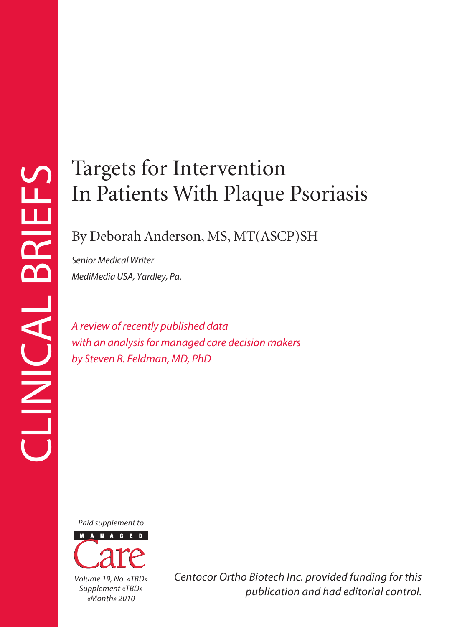## Targets for Intervention In Patients With Plaque Psoriasis

### By Deborah Anderson, MS, MT(ASCP)SH

*Senior Medical Writer MediMedia USA, Yardley, Pa.*

*A review of recently published data with an analysis for managed care decision makers by Steven R. Feldman, MD, PhD*

*Paid supplement to*



*Centocor Ortho Biotech Inc. provided funding for this publication and had editorial control.*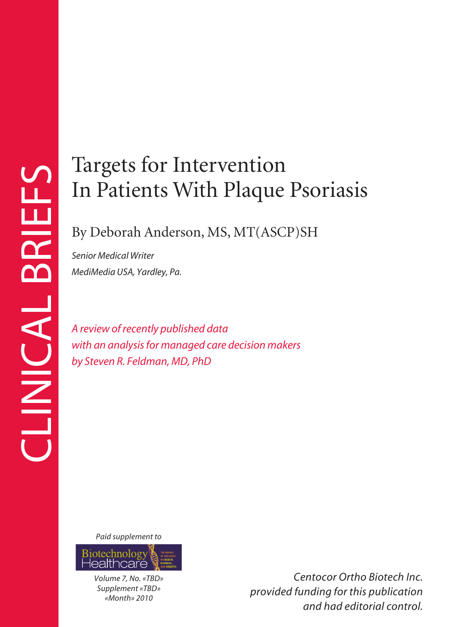# In Patients With Plaque Psoriasis

## By Deborah Anderson, MS, MT(ASCP)SH

*Senior Medical Writer MediMedia USA, Yardley, Pa.*

*A review of recently published data with an analysis for managed care decision makers by Steven R. Feldman, MD, PhD*

*Paid supplement to*



*Volume 7, No. «TBD» Supplement «TBD» «Month» 2010*

*Centocor Ortho Biotech Inc. provided funding for this publication and had editorial control.*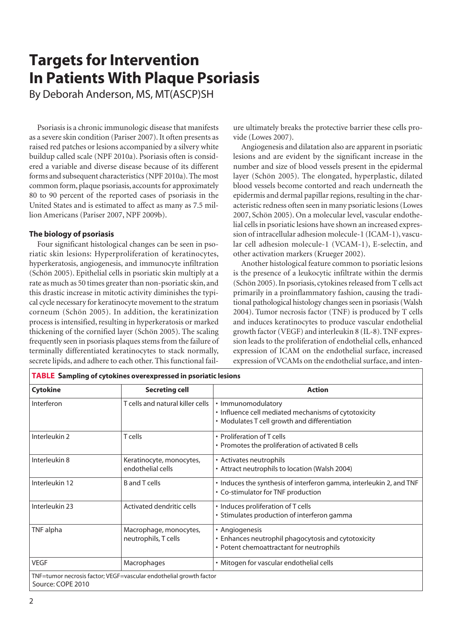## **Targets for Intervention In Patients With Plaque Psoriasis**

By Deborah Anderson, MS, MT(ASCP)SH

Psoriasis is a chronic immunologic disease that manifests as a severe skin condition (Pariser 2007). It often presents as raised red patches or lesions accompanied by a silvery white buildup called scale (NPF 2010a). Psoriasis often is considered a variable and diverse disease because of its different forms and subsequent characteristics (NPF 2010a). The most common form, plaque psoriasis, accounts for approximately 80 to 90 percent of the reported cases of psoriasis in the United States and is estimated to affect as many as 7.5 million Americans (Pariser 2007, NPF 2009b).

#### **The biology of psoriasis**

Four significant histological changes can be seen in psoriatic skin lesions: Hyperproliferation of keratinocytes, hyperkeratosis, angiogenesis, and immunocyte infiltration (Schön 2005). Epithelial cells in psoriatic skin multiply at a rate as much as 50 times greater than non-psoriatic skin, and this drastic increase in mitotic activity diminishes the typical cycle necessary for keratinocyte movement to the stratum corneum (Schön 2005). In addition, the keratinization process is intensified, resulting in hyperkeratosis or marked thickening of the cornified layer (Schön 2005). The scaling frequently seen in psoriasis plaques stems from the failure of terminally differentiated keratinocytes to stack normally, secrete lipids, and adhere to each other. This functional failure ultimately breaks the protective barrier these cells provide (Lowes 2007).

Angiogenesis and dilatation also are apparent in psoriatic lesions and are evident by the significant increase in the number and size of blood vessels present in the epidermal layer (Schön 2005). The elongated, hyperplastic, dilated blood vessels become contorted and reach underneath the epidermis and dermal papillar regions, resulting in the characteristic redness often seen in many psoriatic lesions (Lowes 2007, Schön 2005). On a molecular level, vascular endothelial cells in psoriatic lesions have shown an increased expression of intracellular adhesion molecule-1 (ICAM-1), vascular cell adhesion molecule-1 (VCAM-1), E-selectin, and other activation markers (Krueger 2002).

Another histological feature common to psoriatic lesions is the presence of a leukocytic infiltrate within the dermis (Schön 2005). In psoriasis, cytokines released from T cells act primarily in a proinflammatory fashion, causing the traditional pathological histology changes seen in psoriasis (Walsh 2004). Tumor necrosis factor (TNF) is produced by T cells and induces keratinocytes to produce vascular endothelial growth factor (VEGF) and interleukin 8 (IL-8). TNF expression leads to the proliferation of endothelial cells, enhanced expression of ICAM on the endothelial surface, increased expression of VCAMs on the endothelial surface, and inten-

| <b>Cytokine</b> | <b>Secreting cell</b>                          | <b>Action</b>                                                                                                               |
|-----------------|------------------------------------------------|-----------------------------------------------------------------------------------------------------------------------------|
| Interferon      | T cells and natural killer cells               | • Immunomodulatory<br>• Influence cell mediated mechanisms of cytotoxicity<br>• Modulates T cell growth and differentiation |
| Interleukin 2   | T cells                                        | • Proliferation of T cells<br>• Promotes the proliferation of activated B cells                                             |
| Interleukin 8   | Keratinocyte, monocytes,<br>endothelial cells  | • Activates neutrophils<br>• Attract neutrophils to location (Walsh 2004)                                                   |
| Interleukin 12  | <b>B</b> and T cells                           | . Induces the synthesis of interferon gamma, interleukin 2, and TNF<br>• Co-stimulator for TNF production                   |
| Interleukin 23  | Activated dendritic cells                      | • Induces proliferation of T cells<br>• Stimulates production of interferon gamma                                           |
| TNF alpha       | Macrophage, monocytes,<br>neutrophils, T cells | • Angiogenesis<br>• Enhances neutrophil phagocytosis and cytotoxicity<br>• Potent chemoattractant for neutrophils           |
| <b>VEGF</b>     | Macrophages                                    | • Mitogen for vascular endothelial cells                                                                                    |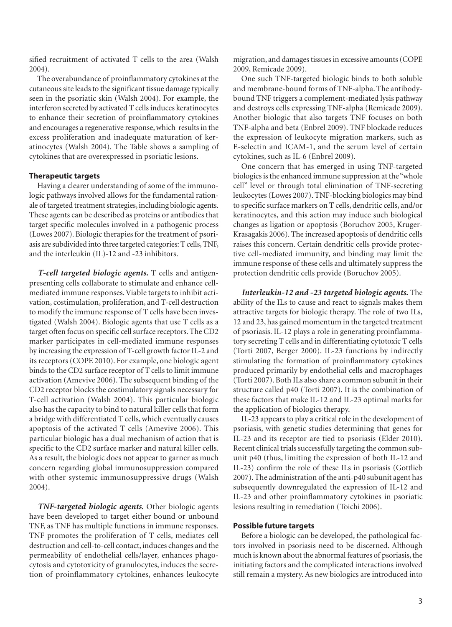sified recruitment of activated T cells to the area (Walsh 2004).

The overabundance of proinflammatory cytokines at the cutaneous site leads to the significant tissue damage typically seen in the psoriatic skin (Walsh 2004). For example, the interferon secreted by activated T cells induces keratinocytes to enhance their secretion of proinflammatory cytokines and encourages a regenerative response, which results in the excess proliferation and inadequate maturation of keratinocytes (Walsh 2004). The Table shows a sampling of cytokines that are overexpressed in psoriatic lesions.

#### **Therapeutic targets**

Having a clearer understanding of some of the immunologic pathways involved allows for the fundamental rationale of targeted treatment strategies, including biologic agents. These agents can be described as proteins or antibodies that target specific molecules involved in a pathogenic process (Lowes 2007). Biologic therapies for the treatment of psoriasis are subdivided into three targeted categories: T cells, TNF, and the interleukin (IL)-12 and -23 inhibitors.

*T-cell targeted biologic agents.* T cells and antigenpresenting cells collaborate to stimulate and enhance cellmediated immune responses. Viable targets to inhibit activation, costimulation, proliferation, and T-cell destruction to modify the immune response of T cells have been investigated (Walsh 2004). Biologic agents that use T cells as a target often focus on specific cell surface receptors. The CD2 marker participates in cell-mediated immune responses by increasing the expression of T-cell growth factor IL-2 and its receptors (COPE 2010). For example, one biologic agent binds to the CD2 surface receptor of T cells to limit immune activation (Amevive 2006). The subsequent binding of the CD2 receptor blocks the costimulatory signals necessary for T-cell activation (Walsh 2004). This particular biologic also has the capacity to bind to natural killer cells that form a bridge with differentiated T cells, which eventually causes apoptosis of the activated T cells (Amevive 2006). This particular biologic has a dual mechanism of action that is specific to the CD2 surface marker and natural killer cells. As a result, the biologic does not appear to garner as much concern regarding global immunosuppression compared with other systemic immunosuppressive drugs (Walsh 2004).

*TNF-targeted biologic agents.* Other biologic agents have been developed to target either bound or unbound TNF, as TNF has multiple functions in immune responses. TNF promotes the proliferation of T cells, mediates cell destruction and cell-to-cell contact, induces changes and the permeability of endothelial cells/layer, enhances phagocytosis and cytotoxicity of granulocytes, induces the secretion of proinflammatory cytokines, enhances leukocyte migration, and damages tissues in excessive amounts (COPE 2009, Remicade 2009).

One such TNF-targeted biologic binds to both soluble and membrane-bound forms of TNF-alpha. The antibodybound TNF triggers a complement-mediated lysis pathway and destroys cells expressing TNF-alpha (Remicade 2009). Another biologic that also targets TNF focuses on both TNF-alpha and beta (Enbrel 2009). TNF blockade reduces the expression of leukocyte migration markers, such as E-selectin and ICAM-1, and the serum level of certain cytokines, such as IL-6 (Enbrel 2009).

One concern that has emerged in using TNF-targeted biologics is the enhanced immune suppression at the"whole cell" level or through total elimination of TNF-secreting leukocytes (Lowes 2007). TNF-blocking biologics may bind to specific surface markers on T cells, dendritic cells, and/or keratinocytes, and this action may induce such biological changes as ligation or apoptosis (Boruchov 2005, Kruger-Krasagakis 2006). The increased apoptosis of dendritic cells raises this concern. Certain dendritic cells provide protective cell-mediated immunity, and binding may limit the immune response of these cells and ultimately suppress the protection dendritic cells provide (Boruchov 2005).

*Interleukin-12 and -23 targeted biologic agents.* The ability of the ILs to cause and react to signals makes them attractive targets for biologic therapy. The role of two ILs, 12 and 23, has gained momentum in the targeted treatment of psoriasis. IL-12 plays a role in generating proinflammatory secreting T cells and in differentiating cytotoxic T cells (Torti 2007, Berger 2000). IL-23 functions by indirectly stimulating the formation of proinflammatory cytokines produced primarily by endothelial cells and macrophages (Torti 2007). Both ILs also share a common subunit in their structure called p40 (Torti 2007). It is the combination of these factors that make IL-12 and IL-23 optimal marks for the application of biologics therapy.

IL-23 appears to play a critical role in the development of psoriasis, with genetic studies determining that genes for IL-23 and its receptor are tied to psoriasis (Elder 2010). Recent clinical trials successfully targeting the common subunit p40 (thus, limiting the expression of both IL-12 and IL-23) confirm the role of these ILs in psoriasis (Gottlieb 2007). The administration of the anti-p40 subunit agent has subsequently downregulated the expression of IL-12 and IL-23 and other proinflammatory cytokines in psoriatic lesions resulting in remediation (Toichi 2006).

#### **Possible future targets**

Before a biologic can be developed, the pathological factors involved in psoriasis need to be discerned. Although much is known about the abnormal features of psoriasis, the initiating factors and the complicated interactions involved still remain a mystery. As new biologics are introduced into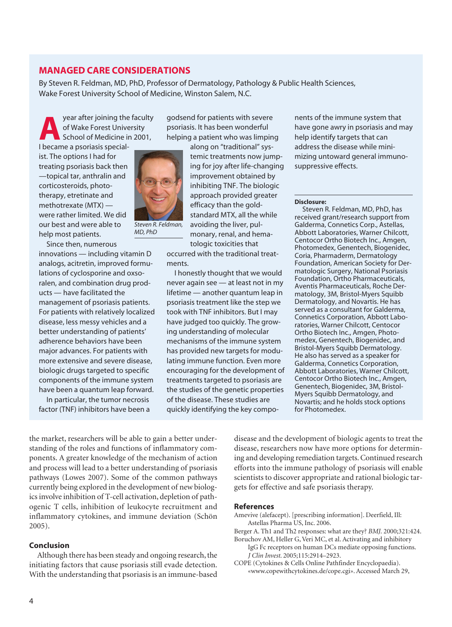#### **MANAGED CARE CONSIDERATIONS**

By Steven R. Feldman, MD, PhD, Professor of Dermatology, Pathology & Public Health Sciences, Wake Forest University School of Medicine, Winston Salem, N.C.

> godsend for patients with severe psoriasis. It has been wonderful helping a patient who was limping

year after joining the faculty<br>of Wake Forest University<br>School of Medicine in 2001, of Wake Forest University School of Medicine in 2001,

I became a psoriasis specialist. The options I had for treating psoriasis back then —topical tar, anthralin and corticosteroids, phototherapy, etretinate and methotrexate (MTX) were rather limited. We did our best and were able to help most patients.



*Steven R. Feldman, MD, PhD*

Since then, numerous innovations — including vitamin D analogs, acitretin, improved formulations of cyclosporine and oxsoralen, and combination drug products — have facilitated the management of psoriasis patients. For patients with relatively localized disease, less messy vehicles and a better understanding of patients' adherence behaviors have been major advances. For patients with more extensive and severe disease, biologic drugs targeted to specific components of the immune system have been a quantum leap forward. In particular, the tumor necrosis factor (TNF) inhibitors have been a

temic treatments now jumping for joy after life-changing improvement obtained by inhibiting TNF. The biologic approach provided greater efficacy than the goldstandard MTX, all the while avoiding the liver, pulmonary, renal, and hematologic toxicities that

occurred with the traditional treatments.

I honestly thought that we would never again see — at least not in my lifetime — another quantum leap in psoriasis treatment like the step we took with TNF inhibitors. But I may have judged too quickly. The growing understanding of molecular mechanisms of the immune system has provided new targets for modulating immune function. Even more encouraging for the development of treatments targeted to psoriasis are the studies of the genetic properties of the disease. These studies are quickly identifying the key compo-

nents of the immune system that have gone awry in psoriasis and may help identify targets that can address the disease while minimizing untoward general immunosuppressive effects.

#### **Disclosure:**

Steven R. Feldman, MD, PhD, has received grant/research support from Galderma, Connetics Corp., Astellas, Abbott Laboratories, Warner Chilcott, Centocor Ortho Biotech Inc., Amgen, Photomedex, Genentech, Biogenidec, Coria, Pharmaderm, Dermatology Foundation, American Society for Dermatologic Surgery, National Psoriasis Foundation, Ortho Pharmaceuticals, Aventis Pharmaceuticals, Roche Dermatology, 3M, Bristol-Myers Squibb Dermatology, and Novartis. He has served as a consultant for Galderma, Connetics Corporation, Abbott Laboratories, Warner Chilcott, Centocor Ortho Biotech Inc., Amgen, Photomedex, Genentech, Biogenidec, and Bristol-Myers Squibb Dermatology. He also has served as a speaker for Galderma, Connetics Corporation, Abbott Laboratories, Warner Chilcott, Centocor Ortho Biotech Inc., Amgen, Genentech, Biogenidec, 3M, Bristol-Myers Squibb Dermatology, and Novartis; and he holds stock options for Photomedex.

the market, researchers will be able to gain a better understanding of the roles and functions of inflammatory components. A greater knowledge of the mechanism of action and process will lead to a better understanding of psoriasis pathways (Lowes 2007). Some of the common pathways currently being explored in the development of new biologics involve inhibition of T-cell activation, depletion of pathogenic T cells, inhibition of leukocyte recruitment and inflammatory cytokines, and immune deviation (Schön 2005).

#### **Conclusion**

Although there has been steady and ongoing research, the initiating factors that cause psoriasis still evade detection. With the understanding that psoriasis is an immune-based

disease and the development of biologic agents to treat the disease, researchers now have more options for determining and developing remediation targets. Continued research efforts into the immune pathology of psoriasis will enable scientists to discover appropriate and rational biologic targets for effective and safe psoriasis therapy.

#### **References**

- Amevive (alefacept). [prescribing information]. Deerfield, Ill: Astellas Pharma US, Inc. 2006.
- Berger A. Th1 and Th2 responses: what are they? *BMJ*. 2000;321:424.
- Boruchov AM, Heller G, Veri MC, et al. Activating and inhibitory IgG Fc receptors on human DCs mediate opposing functions. *J Clin Invest*. 2005;115:2914–2923.
- COPE (Cytokines & Cells Online Pathfinder Encyclopaedia). «www.copewithcytokines.de/cope.cgi». Accessed March 29,